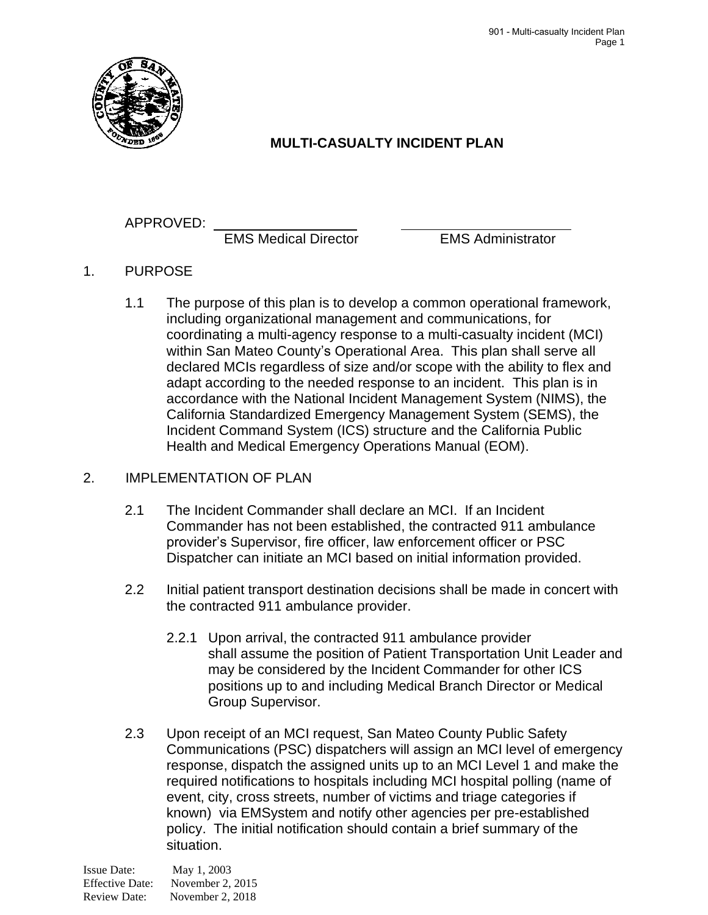

## **MULTI-CASUALTY INCIDENT PLAN**

## APPROVED:

EMS Medical Director EMS Administrator

- 1. PURPOSE
	- 1.1 The purpose of this plan is to develop a common operational framework, including organizational management and communications, for coordinating a multi-agency response to a multi-casualty incident (MCI) within San Mateo County's Operational Area. This plan shall serve all declared MCIs regardless of size and/or scope with the ability to flex and adapt according to the needed response to an incident. This plan is in accordance with the National Incident Management System (NIMS), the California Standardized Emergency Management System (SEMS), the Incident Command System (ICS) structure and the California Public Health and Medical Emergency Operations Manual (EOM).

## 2. IMPLEMENTATION OF PLAN

- 2.1 The Incident Commander shall declare an MCI. If an Incident Commander has not been established, the contracted 911 ambulance provider's Supervisor, fire officer, law enforcement officer or PSC Dispatcher can initiate an MCI based on initial information provided.
- 2.2 Initial patient transport destination decisions shall be made in concert with the contracted 911 ambulance provider.
	- 2.2.1 Upon arrival, the contracted 911 ambulance provider shall assume the position of Patient Transportation Unit Leader and may be considered by the Incident Commander for other ICS positions up to and including Medical Branch Director or Medical Group Supervisor.
- 2.3 Upon receipt of an MCI request, San Mateo County Public Safety Communications (PSC) dispatchers will assign an MCI level of emergency response, dispatch the assigned units up to an MCI Level 1 and make the required notifications to hospitals including MCI hospital polling (name of event, city, cross streets, number of victims and triage categories if known) via EMSystem and notify other agencies per pre-established policy. The initial notification should contain a brief summary of the situation.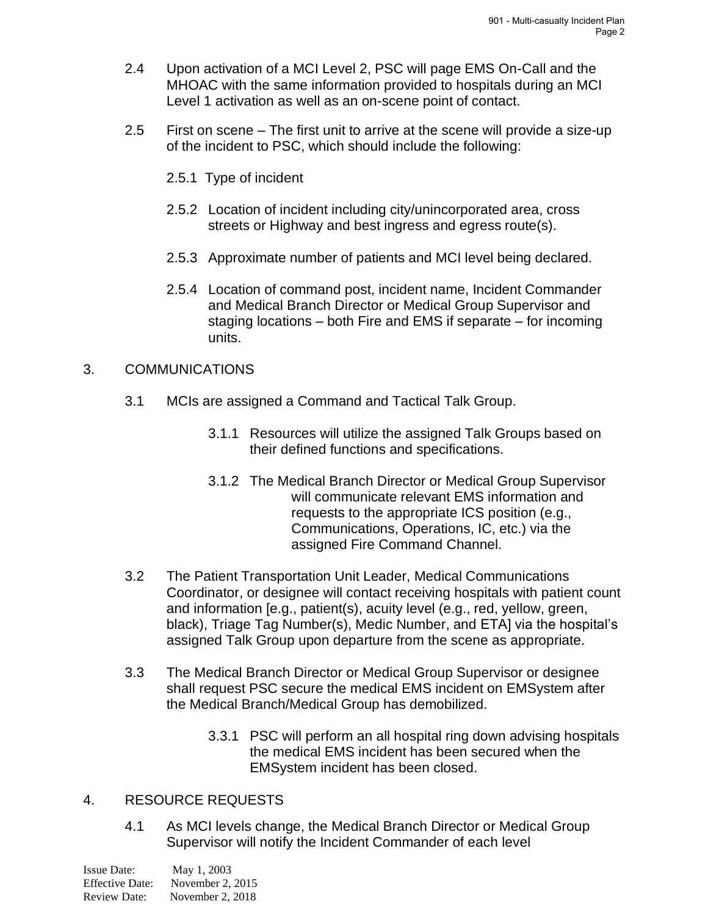- 2.4 Upon activation of a MCI Level 2, PSC will page EMS On-Call and the MHOAC with the same information provided to hospitals during an MCI Level 1 activation as well as an on-scene point of contact.
- 2.5 First on scene The first unit to arrive at the scene will provide a size-up of the incident to PSC, which should include the following:
	- 2.5.1 Type of incident
	- 2.5.2 Location of incident including city/unincorporated area, cross streets or Highway and best ingress and egress route(s).
	- 2.5.3 Approximate number of patients and MCI level being declared.
	- 2.5.4 Location of command post, incident name, Incident Commander and Medical Branch Director or Medical Group Supervisor and staging locations – both Fire and EMS if separate – for incoming units.

#### 3. COMMUNICATIONS

- 3.1 MCIs are assigned a Command and Tactical Talk Group.
	- 3.1.1 Resources will utilize the assigned Talk Groups based on their defined functions and specifications.
	- 3.1.2 The Medical Branch Director or Medical Group Supervisor will communicate relevant EMS information and requests to the appropriate ICS position (e.g., Communications, Operations, IC, etc.) via the assigned Fire Command Channel.
- 3.2 The Patient Transportation Unit Leader, Medical Communications Coordinator, or designee will contact receiving hospitals with patient count and information [e.g., patient(s), acuity level (e.g., red, yellow, green, black), Triage Tag Number(s), Medic Number, and ETA] via the hospital's assigned Talk Group upon departure from the scene as appropriate.
- 3.3 The Medical Branch Director or Medical Group Supervisor or designee shall request PSC secure the medical EMS incident on EMSystem after the Medical Branch/Medical Group has demobilized.
	- 3.3.1 PSC will perform an all hospital ring down advising hospitals the medical EMS incident has been secured when the EMSystem incident has been closed.

#### 4. RESOURCE REQUESTS

4.1 As MCI levels change, the Medical Branch Director or Medical Group Supervisor will notify the Incident Commander of each level

| Issue Date:            | May 1, 2003      |
|------------------------|------------------|
| <b>Effective Date:</b> | November 2, 2015 |
| <b>Review Date:</b>    | November 2, 2018 |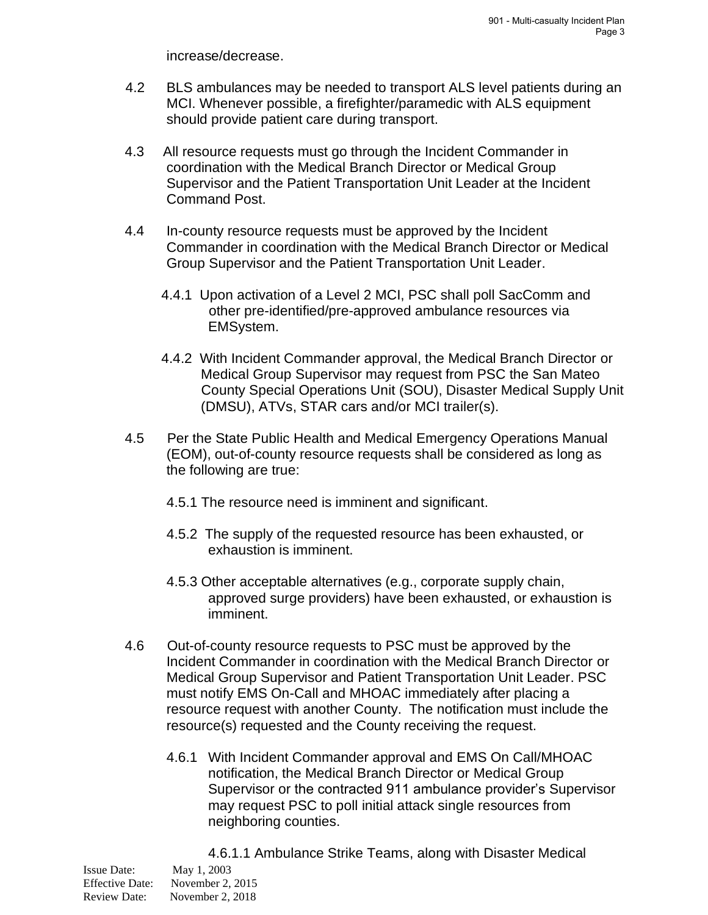increase/decrease.

- 4.2 BLS ambulances may be needed to transport ALS level patients during an MCI. Whenever possible, a firefighter/paramedic with ALS equipment should provide patient care during transport.
- 4.3 All resource requests must go through the Incident Commander in coordination with the Medical Branch Director or Medical Group Supervisor and the Patient Transportation Unit Leader at the Incident Command Post.
- 4.4 In-county resource requests must be approved by the Incident Commander in coordination with the Medical Branch Director or Medical Group Supervisor and the Patient Transportation Unit Leader.
	- 4.4.1 Upon activation of a Level 2 MCI, PSC shall poll SacComm and other pre-identified/pre-approved ambulance resources via EMSystem.
	- 4.4.2 With Incident Commander approval, the Medical Branch Director or Medical Group Supervisor may request from PSC the San Mateo County Special Operations Unit (SOU), Disaster Medical Supply Unit (DMSU), ATVs, STAR cars and/or MCI trailer(s).
- 4.5 Per the State Public Health and Medical Emergency Operations Manual (EOM), out-of-county resource requests shall be considered as long as the following are true:
	- 4.5.1 The resource need is imminent and significant.
	- 4.5.2 The supply of the requested resource has been exhausted, or exhaustion is imminent.
	- 4.5.3 Other acceptable alternatives (e.g., corporate supply chain, approved surge providers) have been exhausted, or exhaustion is imminent.
- 4.6 Out-of-county resource requests to PSC must be approved by the Incident Commander in coordination with the Medical Branch Director or Medical Group Supervisor and Patient Transportation Unit Leader. PSC must notify EMS On-Call and MHOAC immediately after placing a resource request with another County. The notification must include the resource(s) requested and the County receiving the request.
	- 4.6.1 With Incident Commander approval and EMS On Call/MHOAC notification, the Medical Branch Director or Medical Group Supervisor or the contracted 911 ambulance provider's Supervisor may request PSC to poll initial attack single resources from neighboring counties.

Issue Date: May 1, 2003 Effective Date: November 2, 2015 Review Date: November 2, 2018 4.6.1.1 Ambulance Strike Teams, along with Disaster Medical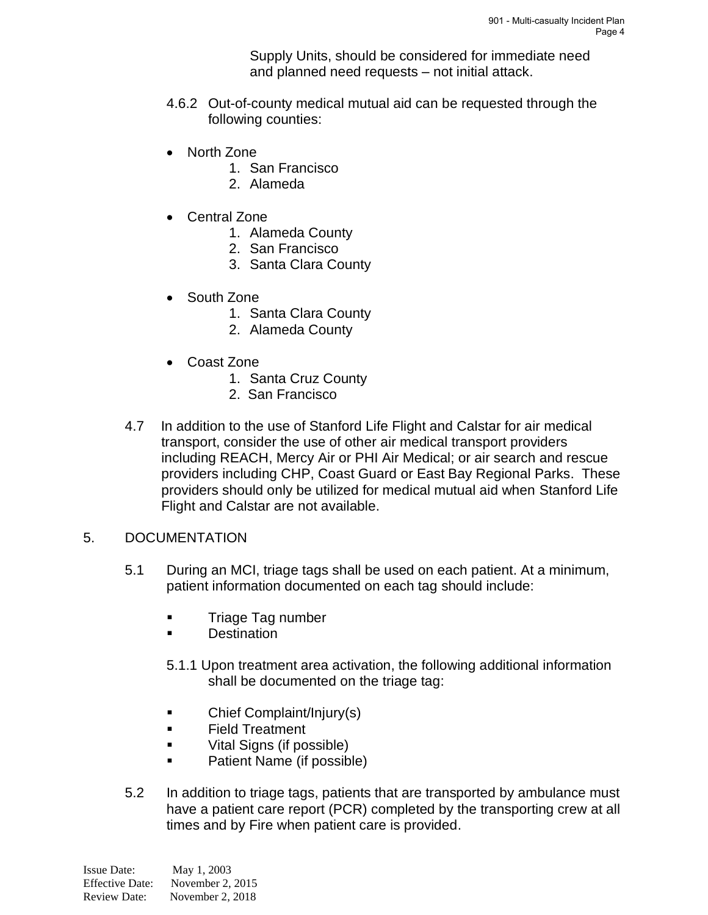Supply Units, should be considered for immediate need and planned need requests – not initial attack.

- 4.6.2 Out-of-county medical mutual aid can be requested through the following counties:
- North Zone
	- 1. San Francisco
	- 2. Alameda
- Central Zone
	- 1. Alameda County
	- 2. San Francisco
	- 3. Santa Clara County
- South Zone
	- 1. Santa Clara County
	- 2. Alameda County
- Coast Zone
	- 1. Santa Cruz County
	- 2. San Francisco
- 4.7 In addition to the use of Stanford Life Flight and Calstar for air medical transport, consider the use of other air medical transport providers including REACH, Mercy Air or PHI Air Medical; or air search and rescue providers including CHP, Coast Guard or East Bay Regional Parks. These providers should only be utilized for medical mutual aid when Stanford Life Flight and Calstar are not available.
- 5. DOCUMENTATION
	- 5.1 During an MCI, triage tags shall be used on each patient. At a minimum, patient information documented on each tag should include:
		- Triage Tag number
		- Destination
		- 5.1.1 Upon treatment area activation, the following additional information shall be documented on the triage tag:
		- Chief Complaint/Injury(s)
		- Field Treatment
		- Vital Signs (if possible)
		- Patient Name (if possible)
	- 5.2 In addition to triage tags, patients that are transported by ambulance must have a patient care report (PCR) completed by the transporting crew at all times and by Fire when patient care is provided.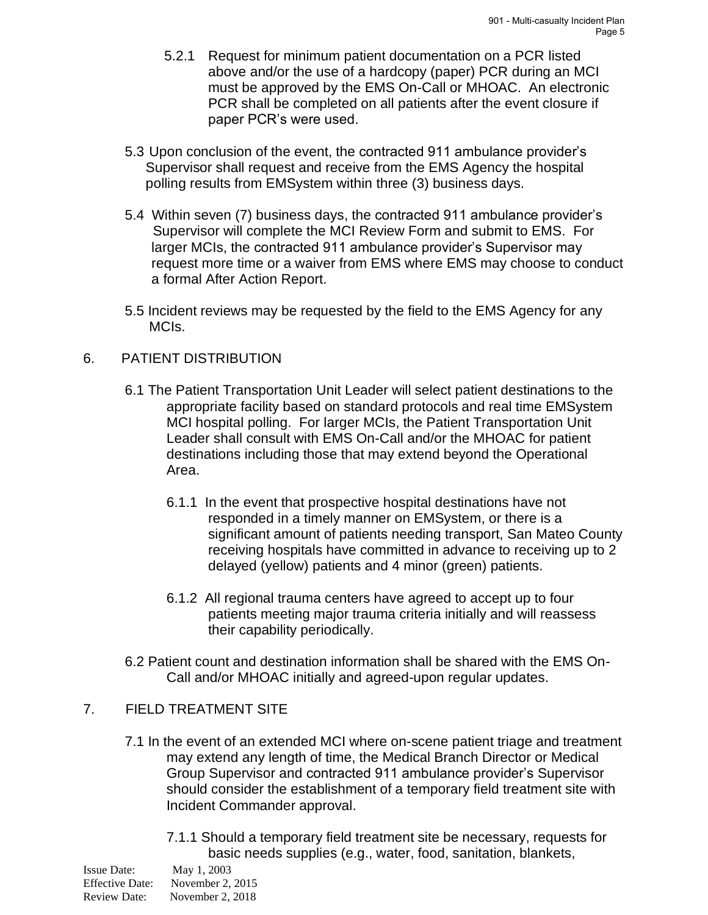- 5.2.1 Request for minimum patient documentation on a PCR listed above and/or the use of a hardcopy (paper) PCR during an MCI must be approved by the EMS On-Call or MHOAC. An electronic PCR shall be completed on all patients after the event closure if paper PCR's were used.
- 5.3 Upon conclusion of the event, the contracted 911 ambulance provider's Supervisor shall request and receive from the EMS Agency the hospital polling results from EMSystem within three (3) business days.
- 5.4 Within seven (7) business days, the contracted 911 ambulance provider's Supervisor will complete the MCI Review Form and submit to EMS. For larger MCIs, the contracted 911 ambulance provider's Supervisor may request more time or a waiver from EMS where EMS may choose to conduct a formal After Action Report.
- 5.5 Incident reviews may be requested by the field to the EMS Agency for any MCIs.

#### 6. PATIENT DISTRIBUTION

- 6.1 The Patient Transportation Unit Leader will select patient destinations to the appropriate facility based on standard protocols and real time EMSystem MCI hospital polling. For larger MCIs, the Patient Transportation Unit Leader shall consult with EMS On-Call and/or the MHOAC for patient destinations including those that may extend beyond the Operational Area.
	- 6.1.1 In the event that prospective hospital destinations have not responded in a timely manner on EMSystem, or there is a significant amount of patients needing transport, San Mateo County receiving hospitals have committed in advance to receiving up to 2 delayed (yellow) patients and 4 minor (green) patients.
	- 6.1.2 All regional trauma centers have agreed to accept up to four patients meeting major trauma criteria initially and will reassess their capability periodically.
- 6.2 Patient count and destination information shall be shared with the EMS On-Call and/or MHOAC initially and agreed-upon regular updates.

#### 7. FIELD TREATMENT SITE

- 7.1 In the event of an extended MCI where on-scene patient triage and treatment may extend any length of time, the Medical Branch Director or Medical Group Supervisor and contracted 911 ambulance provider's Supervisor should consider the establishment of a temporary field treatment site with Incident Commander approval.
	- 7.1.1 Should a temporary field treatment site be necessary, requests for basic needs supplies (e.g., water, food, sanitation, blankets,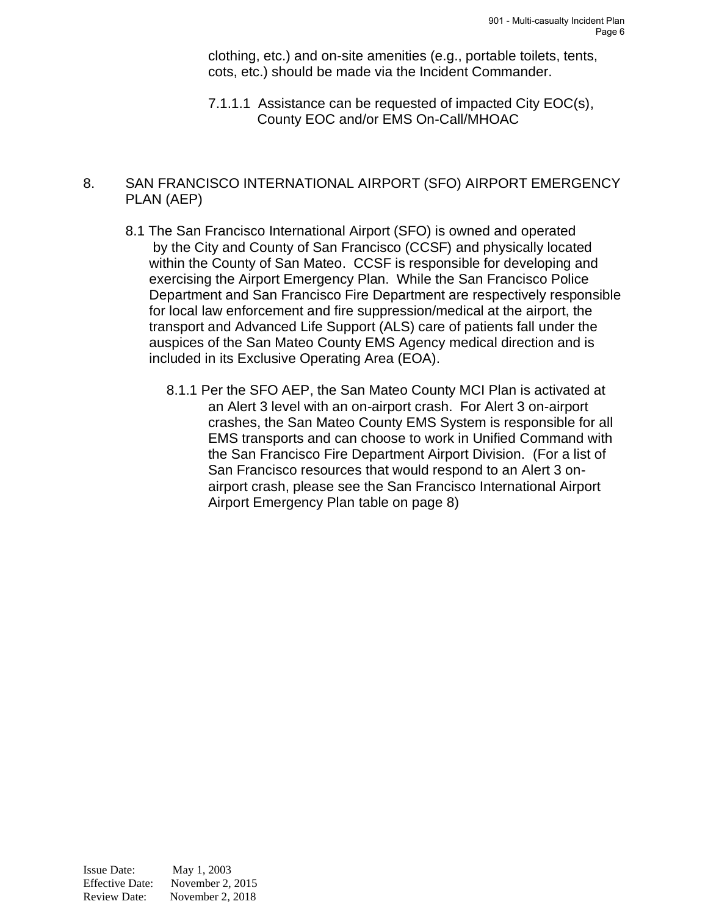clothing, etc.) and on-site amenities (e.g., portable toilets, tents, cots, etc.) should be made via the Incident Commander.

7.1.1.1 Assistance can be requested of impacted City EOC(s), County EOC and/or EMS On-Call/MHOAC

#### 8. SAN FRANCISCO INTERNATIONAL AIRPORT (SFO) AIRPORT EMERGENCY PLAN (AEP)

- 8.1 The San Francisco International Airport (SFO) is owned and operated by the City and County of San Francisco (CCSF) and physically located within the County of San Mateo. CCSF is responsible for developing and exercising the Airport Emergency Plan. While the San Francisco Police Department and San Francisco Fire Department are respectively responsible for local law enforcement and fire suppression/medical at the airport, the transport and Advanced Life Support (ALS) care of patients fall under the auspices of the San Mateo County EMS Agency medical direction and is included in its Exclusive Operating Area (EOA).
	- 8.1.1 Per the SFO AEP, the San Mateo County MCI Plan is activated at an Alert 3 level with an on-airport crash. For Alert 3 on-airport crashes, the San Mateo County EMS System is responsible for all EMS transports and can choose to work in Unified Command with the San Francisco Fire Department Airport Division. (For a list of San Francisco resources that would respond to an Alert 3 onairport crash, please see the San Francisco International Airport Airport Emergency Plan table on page 8)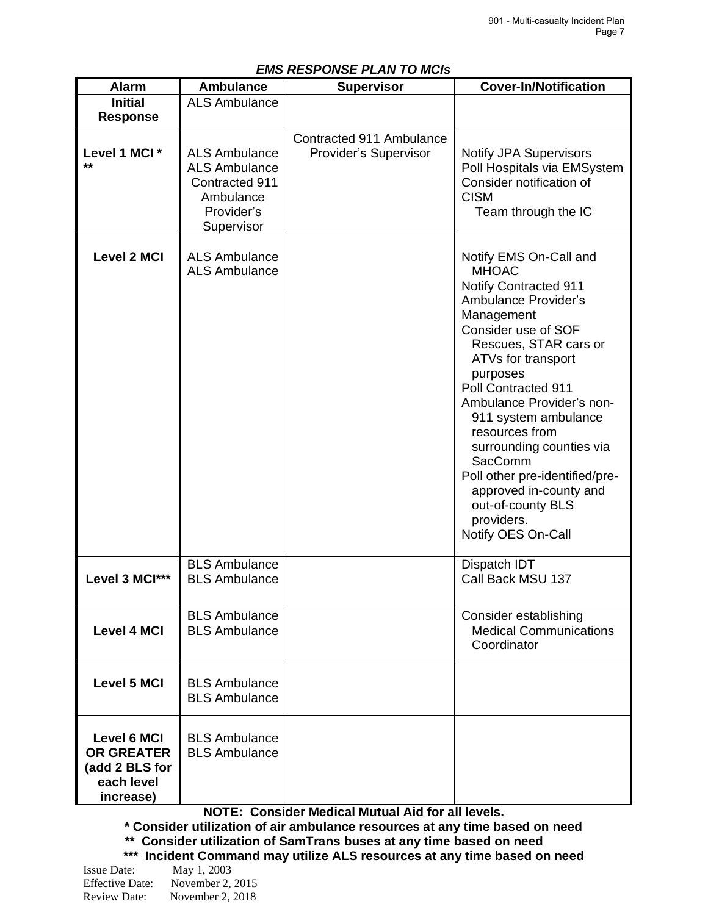| EMS RESPUNSE PLAN TU MUIS                                                            |                                                                                                         |                                                   |                                                                                                                                                                                                                                                                                                                                                                                                                                                          |  |
|--------------------------------------------------------------------------------------|---------------------------------------------------------------------------------------------------------|---------------------------------------------------|----------------------------------------------------------------------------------------------------------------------------------------------------------------------------------------------------------------------------------------------------------------------------------------------------------------------------------------------------------------------------------------------------------------------------------------------------------|--|
| <b>Alarm</b>                                                                         | <b>Ambulance</b>                                                                                        | <b>Supervisor</b>                                 | <b>Cover-In/Notification</b>                                                                                                                                                                                                                                                                                                                                                                                                                             |  |
| <b>Initial</b>                                                                       | <b>ALS Ambulance</b>                                                                                    |                                                   |                                                                                                                                                                                                                                                                                                                                                                                                                                                          |  |
| <b>Response</b>                                                                      |                                                                                                         |                                                   |                                                                                                                                                                                                                                                                                                                                                                                                                                                          |  |
| Level 1 MCI *<br>**                                                                  | <b>ALS Ambulance</b><br><b>ALS Ambulance</b><br>Contracted 911<br>Ambulance<br>Provider's<br>Supervisor | Contracted 911 Ambulance<br>Provider's Supervisor | <b>Notify JPA Supervisors</b><br>Poll Hospitals via EMSystem<br>Consider notification of<br><b>CISM</b><br>Team through the IC                                                                                                                                                                                                                                                                                                                           |  |
| <b>Level 2 MCI</b>                                                                   | <b>ALS Ambulance</b><br><b>ALS Ambulance</b>                                                            |                                                   | Notify EMS On-Call and<br><b>MHOAC</b><br><b>Notify Contracted 911</b><br>Ambulance Provider's<br>Management<br>Consider use of SOF<br>Rescues, STAR cars or<br>ATVs for transport<br>purposes<br>Poll Contracted 911<br>Ambulance Provider's non-<br>911 system ambulance<br>resources from<br>surrounding counties via<br>SacComm<br>Poll other pre-identified/pre-<br>approved in-county and<br>out-of-county BLS<br>providers.<br>Notify OES On-Call |  |
| Level 3 MCI***                                                                       | <b>BLS Ambulance</b><br><b>BLS Ambulance</b>                                                            |                                                   | Dispatch IDT<br>Call Back MSU 137                                                                                                                                                                                                                                                                                                                                                                                                                        |  |
| <b>Level 4 MCI</b>                                                                   | <b>BLS Ambulance</b><br><b>BLS Ambulance</b>                                                            |                                                   | Consider establishing<br><b>Medical Communications</b><br>Coordinator                                                                                                                                                                                                                                                                                                                                                                                    |  |
| <b>Level 5 MCI</b>                                                                   | <b>BLS Ambulance</b><br><b>BLS Ambulance</b>                                                            |                                                   |                                                                                                                                                                                                                                                                                                                                                                                                                                                          |  |
| <b>Level 6 MCI</b><br><b>OR GREATER</b><br>(add 2 BLS for<br>each level<br>increase) | <b>BLS Ambulance</b><br><b>BLS Ambulance</b>                                                            |                                                   |                                                                                                                                                                                                                                                                                                                                                                                                                                                          |  |

#### *EMS RESPONSE PLAN TO MCIs*

**NOTE: Consider Medical Mutual Aid for all levels.**

**\* Consider utilization of air ambulance resources at any time based on need \*\* Consider utilization of SamTrans buses at any time based on need \*\*\* Incident Command may utilize ALS resources at any time based on need**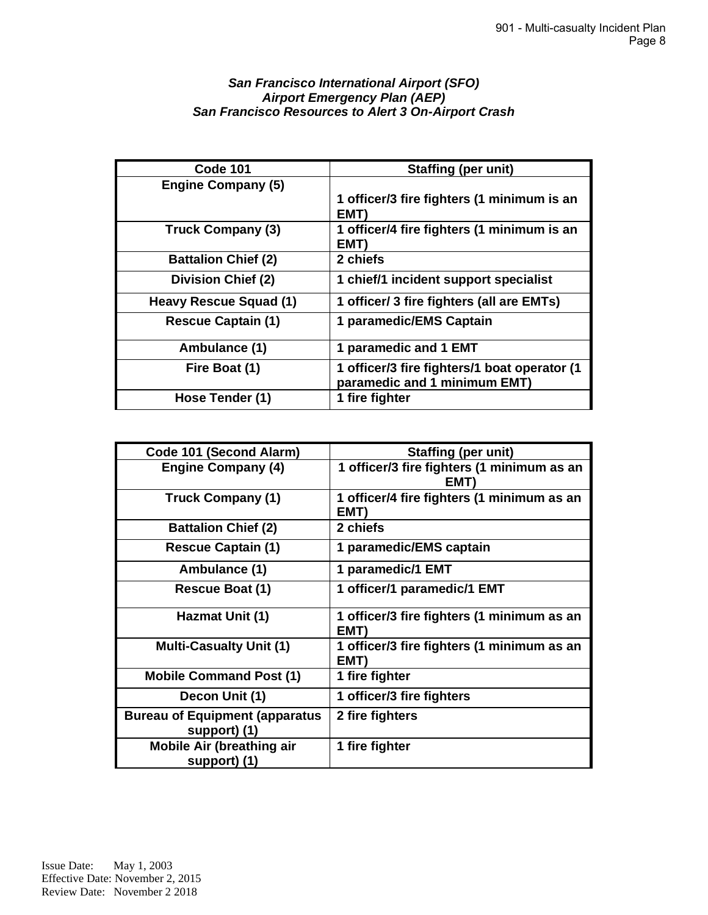#### *San Francisco International Airport (SFO) Airport Emergency Plan (AEP) San Francisco Resources to Alert 3 On-Airport Crash*

| <b>Code 101</b>            | <b>Staffing (per unit)</b>                                                   |
|----------------------------|------------------------------------------------------------------------------|
| <b>Engine Company (5)</b>  |                                                                              |
|                            | 1 officer/3 fire fighters (1 minimum is an<br>EMT)                           |
| <b>Truck Company (3)</b>   | 1 officer/4 fire fighters (1 minimum is an<br>EMT)                           |
| <b>Battalion Chief (2)</b> | 2 chiefs                                                                     |
| <b>Division Chief (2)</b>  | 1 chief/1 incident support specialist                                        |
| Heavy Rescue Squad (1)     | 1 officer/ 3 fire fighters (all are EMTs)                                    |
| <b>Rescue Captain (1)</b>  | 1 paramedic/EMS Captain                                                      |
| Ambulance (1)              | 1 paramedic and 1 EMT                                                        |
| Fire Boat (1)              | 1 officer/3 fire fighters/1 boat operator (1<br>paramedic and 1 minimum EMT) |
| Hose Tender (1)            | 1 fire fighter                                                               |

| Code 101 (Second Alarm)                               | <b>Staffing (per unit)</b>                         |
|-------------------------------------------------------|----------------------------------------------------|
| <b>Engine Company (4)</b>                             | 1 officer/3 fire fighters (1 minimum as an<br>EM1  |
| <b>Truck Company (1)</b>                              | 1 officer/4 fire fighters (1 minimum as an<br>EMT) |
| <b>Battalion Chief (2)</b>                            | 2 chiefs                                           |
| <b>Rescue Captain (1)</b>                             | 1 paramedic/EMS captain                            |
| Ambulance (1)                                         | 1 paramedic/1 EMT                                  |
| <b>Rescue Boat (1)</b>                                | 1 officer/1 paramedic/1 EMT                        |
| Hazmat Unit (1)                                       | 1 officer/3 fire fighters (1 minimum as an<br>EMT) |
| <b>Multi-Casualty Unit (1)</b>                        | 1 officer/3 fire fighters (1 minimum as an<br>EMT) |
| <b>Mobile Command Post (1)</b>                        | 1 fire fighter                                     |
| Decon Unit (1)                                        | 1 officer/3 fire fighters                          |
| <b>Bureau of Equipment (apparatus</b><br>support) (1) | 2 fire fighters                                    |
| <b>Mobile Air (breathing air</b><br>support) (1)      | 1 fire fighter                                     |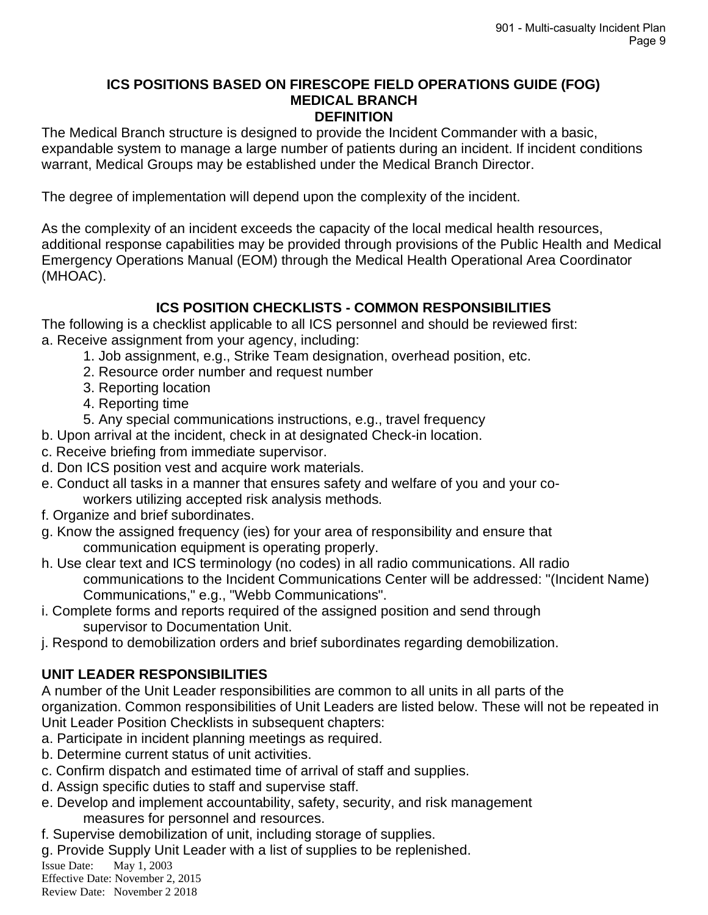#### **ICS POSITIONS BASED ON FIRESCOPE FIELD OPERATIONS GUIDE (FOG) MEDICAL BRANCH DEFINITION**

The Medical Branch structure is designed to provide the Incident Commander with a basic, expandable system to manage a large number of patients during an incident. If incident conditions warrant, Medical Groups may be established under the Medical Branch Director.

The degree of implementation will depend upon the complexity of the incident.

As the complexity of an incident exceeds the capacity of the local medical health resources, additional response capabilities may be provided through provisions of the Public Health and Medical Emergency Operations Manual (EOM) through the Medical Health Operational Area Coordinator (MHOAC).

## **ICS POSITION CHECKLISTS - COMMON RESPONSIBILITIES**

The following is a checklist applicable to all ICS personnel and should be reviewed first: a. Receive assignment from your agency, including:

- 1. Job assignment, e.g., Strike Team designation, overhead position, etc.
- 2. Resource order number and request number
- 3. Reporting location
- 4. Reporting time

5. Any special communications instructions, e.g., travel frequency

b. Upon arrival at the incident, check in at designated Check-in location.

- c. Receive briefing from immediate supervisor.
- d. Don ICS position vest and acquire work materials.
- e. Conduct all tasks in a manner that ensures safety and welfare of you and your coworkers utilizing accepted risk analysis methods.
- f. Organize and brief subordinates.
- g. Know the assigned frequency (ies) for your area of responsibility and ensure that communication equipment is operating properly.
- h. Use clear text and ICS terminology (no codes) in all radio communications. All radio communications to the Incident Communications Center will be addressed: "(Incident Name) Communications," e.g., "Webb Communications".
- i. Complete forms and reports required of the assigned position and send through supervisor to Documentation Unit.
- j. Respond to demobilization orders and brief subordinates regarding demobilization.

## **UNIT LEADER RESPONSIBILITIES**

A number of the Unit Leader responsibilities are common to all units in all parts of the organization. Common responsibilities of Unit Leaders are listed below. These will not be repeated in Unit Leader Position Checklists in subsequent chapters:

- a. Participate in incident planning meetings as required.
- b. Determine current status of unit activities.
- c. Confirm dispatch and estimated time of arrival of staff and supplies.
- d. Assign specific duties to staff and supervise staff.
- e. Develop and implement accountability, safety, security, and risk management measures for personnel and resources.
- f. Supervise demobilization of unit, including storage of supplies.

g. Provide Supply Unit Leader with a list of supplies to be replenished.

Issue Date: May 1, 2003

Effective Date: November 2, 2015 Review Date: November 2 2018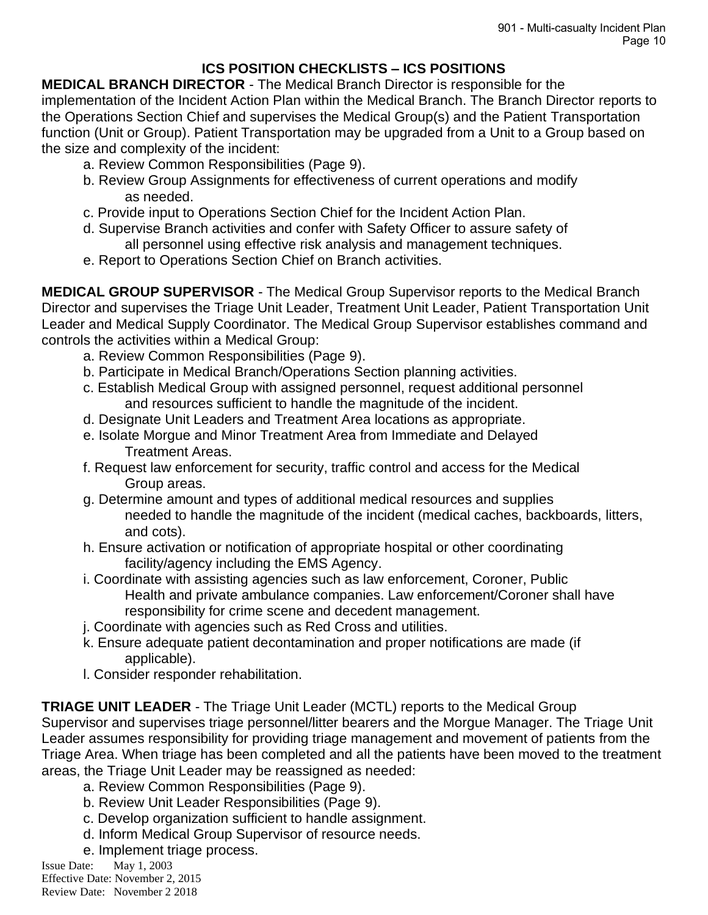## **ICS POSITION CHECKLISTS – ICS POSITIONS**

**MEDICAL BRANCH DIRECTOR** - The Medical Branch Director is responsible for the implementation of the Incident Action Plan within the Medical Branch. The Branch Director reports to the Operations Section Chief and supervises the Medical Group(s) and the Patient Transportation function (Unit or Group). Patient Transportation may be upgraded from a Unit to a Group based on the size and complexity of the incident:

- a. Review Common Responsibilities (Page 9).
- b. Review Group Assignments for effectiveness of current operations and modify as needed.
- c. Provide input to Operations Section Chief for the Incident Action Plan.
- d. Supervise Branch activities and confer with Safety Officer to assure safety of all personnel using effective risk analysis and management techniques.
- e. Report to Operations Section Chief on Branch activities.

**MEDICAL GROUP SUPERVISOR** - The Medical Group Supervisor reports to the Medical Branch Director and supervises the Triage Unit Leader, Treatment Unit Leader, Patient Transportation Unit Leader and Medical Supply Coordinator. The Medical Group Supervisor establishes command and controls the activities within a Medical Group:

- a. Review Common Responsibilities (Page 9).
- b. Participate in Medical Branch/Operations Section planning activities.
- c. Establish Medical Group with assigned personnel, request additional personnel and resources sufficient to handle the magnitude of the incident.
- d. Designate Unit Leaders and Treatment Area locations as appropriate.
- e. Isolate Morgue and Minor Treatment Area from Immediate and Delayed Treatment Areas.
- f. Request law enforcement for security, traffic control and access for the Medical Group areas.
- g. Determine amount and types of additional medical resources and supplies needed to handle the magnitude of the incident (medical caches, backboards, litters, and cots).
- h. Ensure activation or notification of appropriate hospital or other coordinating facility/agency including the EMS Agency.
- i. Coordinate with assisting agencies such as law enforcement, Coroner, Public Health and private ambulance companies. Law enforcement/Coroner shall have responsibility for crime scene and decedent management.
- j. Coordinate with agencies such as Red Cross and utilities.
- k. Ensure adequate patient decontamination and proper notifications are made (if applicable).
- l. Consider responder rehabilitation.

**TRIAGE UNIT LEADER** - The Triage Unit Leader (MCTL) reports to the Medical Group Supervisor and supervises triage personnel/litter bearers and the Morgue Manager. The Triage Unit Leader assumes responsibility for providing triage management and movement of patients from the Triage Area. When triage has been completed and all the patients have been moved to the treatment areas, the Triage Unit Leader may be reassigned as needed:

- a. Review Common Responsibilities (Page 9).
- b. Review Unit Leader Responsibilities (Page 9).
- c. Develop organization sufficient to handle assignment.
- d. Inform Medical Group Supervisor of resource needs.
- e. Implement triage process.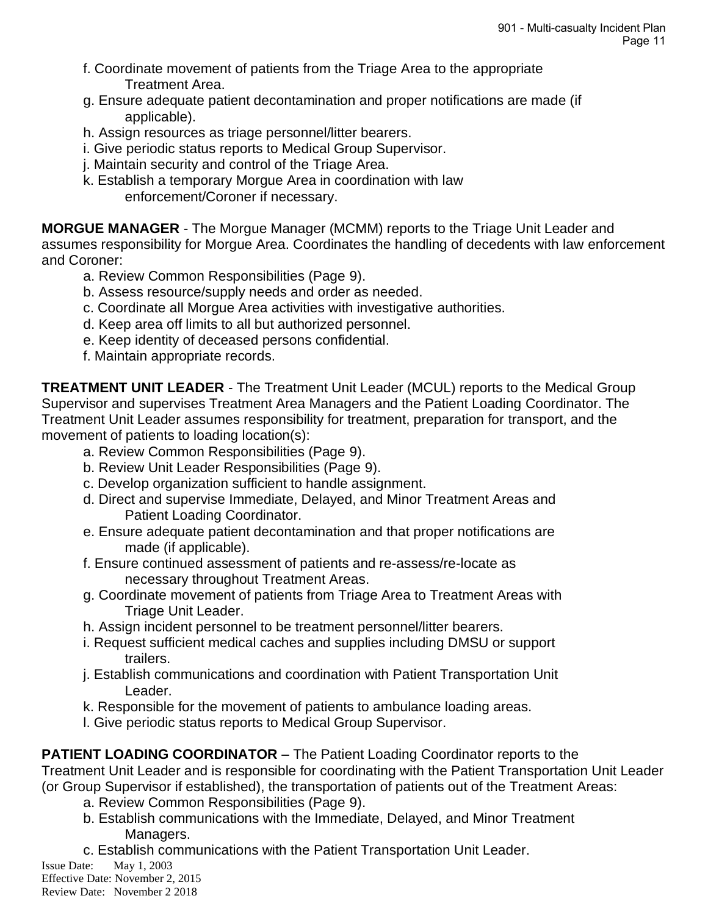- f. Coordinate movement of patients from the Triage Area to the appropriate Treatment Area.
- g. Ensure adequate patient decontamination and proper notifications are made (if applicable).
- h. Assign resources as triage personnel/litter bearers.
- i. Give periodic status reports to Medical Group Supervisor.
- j. Maintain security and control of the Triage Area.
- k. Establish a temporary Morgue Area in coordination with law enforcement/Coroner if necessary.

**MORGUE MANAGER** - The Morgue Manager (MCMM) reports to the Triage Unit Leader and assumes responsibility for Morgue Area. Coordinates the handling of decedents with law enforcement and Coroner:

- a. Review Common Responsibilities (Page 9).
- b. Assess resource/supply needs and order as needed.
- c. Coordinate all Morgue Area activities with investigative authorities.
- d. Keep area off limits to all but authorized personnel.
- e. Keep identity of deceased persons confidential.
- f. Maintain appropriate records.

**TREATMENT UNIT LEADER** - The Treatment Unit Leader (MCUL) reports to the Medical Group Supervisor and supervises Treatment Area Managers and the Patient Loading Coordinator. The Treatment Unit Leader assumes responsibility for treatment, preparation for transport, and the movement of patients to loading location(s):

- a. Review Common Responsibilities (Page 9).
- b. Review Unit Leader Responsibilities (Page 9).
- c. Develop organization sufficient to handle assignment.
- d. Direct and supervise Immediate, Delayed, and Minor Treatment Areas and Patient Loading Coordinator.
- e. Ensure adequate patient decontamination and that proper notifications are made (if applicable).
- f. Ensure continued assessment of patients and re-assess/re-locate as necessary throughout Treatment Areas.
- g. Coordinate movement of patients from Triage Area to Treatment Areas with Triage Unit Leader.
- h. Assign incident personnel to be treatment personnel/litter bearers.
- i. Request sufficient medical caches and supplies including DMSU or support trailers.
- j. Establish communications and coordination with Patient Transportation Unit Leader.
- k. Responsible for the movement of patients to ambulance loading areas.
- l. Give periodic status reports to Medical Group Supervisor.

**PATIENT LOADING COORDINATOR** – The Patient Loading Coordinator reports to the

Treatment Unit Leader and is responsible for coordinating with the Patient Transportation Unit Leader

- (or Group Supervisor if established), the transportation of patients out of the Treatment Areas:
	- a. Review Common Responsibilities (Page 9).
	- b. Establish communications with the Immediate, Delayed, and Minor Treatment Managers.
	- c. Establish communications with the Patient Transportation Unit Leader.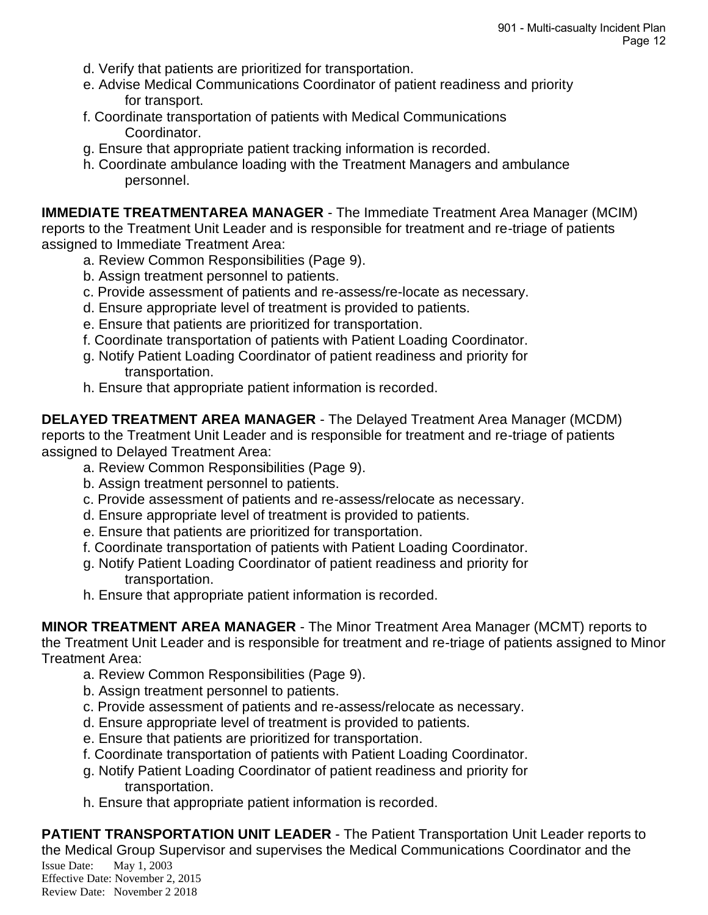- d. Verify that patients are prioritized for transportation.
- e. Advise Medical Communications Coordinator of patient readiness and priority for transport.
- f. Coordinate transportation of patients with Medical Communications Coordinator.
- g. Ensure that appropriate patient tracking information is recorded.
- h. Coordinate ambulance loading with the Treatment Managers and ambulance personnel.

**IMMEDIATE TREATMENTAREA MANAGER** - The Immediate Treatment Area Manager (MCIM) reports to the Treatment Unit Leader and is responsible for treatment and re-triage of patients assigned to Immediate Treatment Area:

- a. Review Common Responsibilities (Page 9).
- b. Assign treatment personnel to patients.
- c. Provide assessment of patients and re-assess/re-locate as necessary.
- d. Ensure appropriate level of treatment is provided to patients.
- e. Ensure that patients are prioritized for transportation.
- f. Coordinate transportation of patients with Patient Loading Coordinator.
- g. Notify Patient Loading Coordinator of patient readiness and priority for transportation.
- h. Ensure that appropriate patient information is recorded.

**DELAYED TREATMENT AREA MANAGER** - The Delayed Treatment Area Manager (MCDM) reports to the Treatment Unit Leader and is responsible for treatment and re-triage of patients assigned to Delayed Treatment Area:

- a. Review Common Responsibilities (Page 9).
- b. Assign treatment personnel to patients.
- c. Provide assessment of patients and re-assess/relocate as necessary.
- d. Ensure appropriate level of treatment is provided to patients.
- e. Ensure that patients are prioritized for transportation.
- f. Coordinate transportation of patients with Patient Loading Coordinator.
- g. Notify Patient Loading Coordinator of patient readiness and priority for transportation.
- h. Ensure that appropriate patient information is recorded.

**MINOR TREATMENT AREA MANAGER** - The Minor Treatment Area Manager (MCMT) reports to the Treatment Unit Leader and is responsible for treatment and re-triage of patients assigned to Minor Treatment Area:

- a. Review Common Responsibilities (Page 9).
- b. Assign treatment personnel to patients.
- c. Provide assessment of patients and re-assess/relocate as necessary.
- d. Ensure appropriate level of treatment is provided to patients.
- e. Ensure that patients are prioritized for transportation.
- f. Coordinate transportation of patients with Patient Loading Coordinator.
- g. Notify Patient Loading Coordinator of patient readiness and priority for transportation.
- h. Ensure that appropriate patient information is recorded.

Issue Date: May 1, 2003 Effective Date: November 2, 2015 Review Date: November 2 2018 **PATIENT TRANSPORTATION UNIT LEADER** - The Patient Transportation Unit Leader reports to the Medical Group Supervisor and supervises the Medical Communications Coordinator and the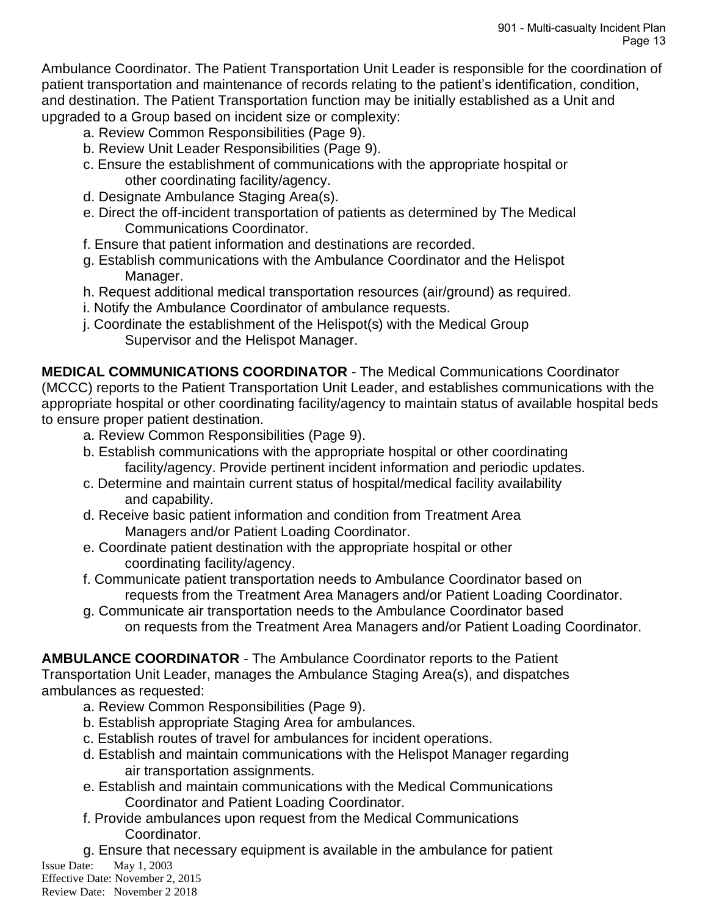Ambulance Coordinator. The Patient Transportation Unit Leader is responsible for the coordination of patient transportation and maintenance of records relating to the patient's identification, condition, and destination. The Patient Transportation function may be initially established as a Unit and upgraded to a Group based on incident size or complexity:

- a. Review Common Responsibilities (Page 9).
- b. Review Unit Leader Responsibilities (Page 9).
- c. Ensure the establishment of communications with the appropriate hospital or other coordinating facility/agency.
- d. Designate Ambulance Staging Area(s).
- e. Direct the off-incident transportation of patients as determined by The Medical Communications Coordinator.
- f. Ensure that patient information and destinations are recorded.
- g. Establish communications with the Ambulance Coordinator and the Helispot Manager.
- h. Request additional medical transportation resources (air/ground) as required.
- i. Notify the Ambulance Coordinator of ambulance requests.
- j. Coordinate the establishment of the Helispot(s) with the Medical Group Supervisor and the Helispot Manager.

**MEDICAL COMMUNICATIONS COORDINATOR** - The Medical Communications Coordinator (MCCC) reports to the Patient Transportation Unit Leader, and establishes communications with the appropriate hospital or other coordinating facility/agency to maintain status of available hospital beds to ensure proper patient destination.

- a. Review Common Responsibilities (Page 9).
- b. Establish communications with the appropriate hospital or other coordinating facility/agency. Provide pertinent incident information and periodic updates.
- c. Determine and maintain current status of hospital/medical facility availability and capability.
- d. Receive basic patient information and condition from Treatment Area Managers and/or Patient Loading Coordinator.
- e. Coordinate patient destination with the appropriate hospital or other coordinating facility/agency.
- f. Communicate patient transportation needs to Ambulance Coordinator based on requests from the Treatment Area Managers and/or Patient Loading Coordinator.
- g. Communicate air transportation needs to the Ambulance Coordinator based on requests from the Treatment Area Managers and/or Patient Loading Coordinator.

**AMBULANCE COORDINATOR** - The Ambulance Coordinator reports to the Patient

Transportation Unit Leader, manages the Ambulance Staging Area(s), and dispatches ambulances as requested:

- a. Review Common Responsibilities (Page 9).
- b. Establish appropriate Staging Area for ambulances.
- c. Establish routes of travel for ambulances for incident operations.
- d. Establish and maintain communications with the Helispot Manager regarding air transportation assignments.
- e. Establish and maintain communications with the Medical Communications Coordinator and Patient Loading Coordinator.
- f. Provide ambulances upon request from the Medical Communications Coordinator.
- g. Ensure that necessary equipment is available in the ambulance for patient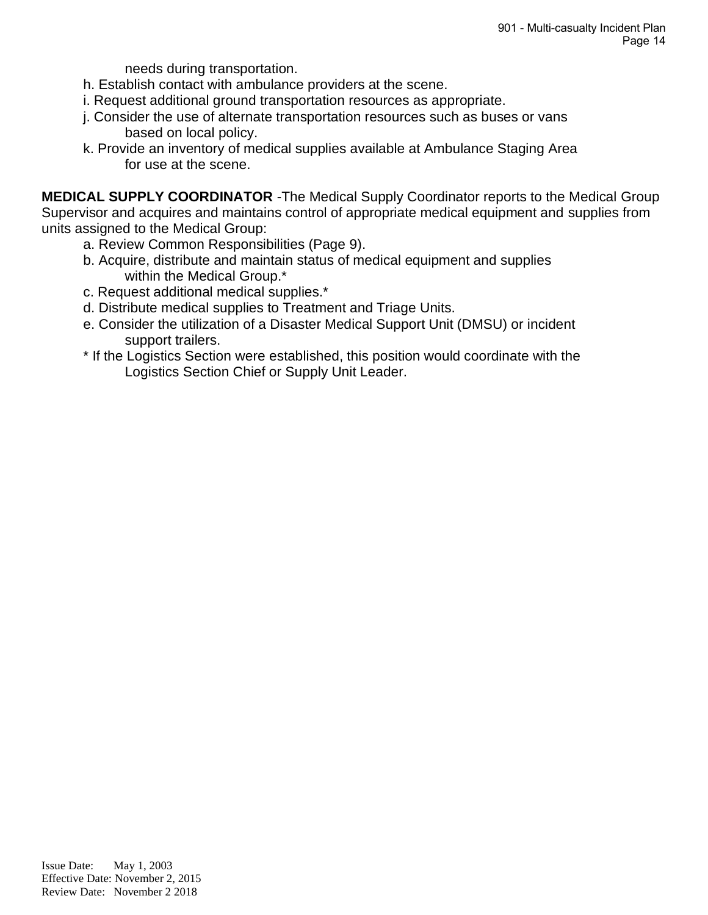needs during transportation.

- h. Establish contact with ambulance providers at the scene.
- i. Request additional ground transportation resources as appropriate.
- j. Consider the use of alternate transportation resources such as buses or vans based on local policy.
- k. Provide an inventory of medical supplies available at Ambulance Staging Area for use at the scene.

**MEDICAL SUPPLY COORDINATOR** -The Medical Supply Coordinator reports to the Medical Group Supervisor and acquires and maintains control of appropriate medical equipment and supplies from units assigned to the Medical Group:

- a. Review Common Responsibilities (Page 9).
- b. Acquire, distribute and maintain status of medical equipment and supplies within the Medical Group.\*
- c. Request additional medical supplies.\*
- d. Distribute medical supplies to Treatment and Triage Units.
- e. Consider the utilization of a Disaster Medical Support Unit (DMSU) or incident support trailers.
- \* If the Logistics Section were established, this position would coordinate with the Logistics Section Chief or Supply Unit Leader.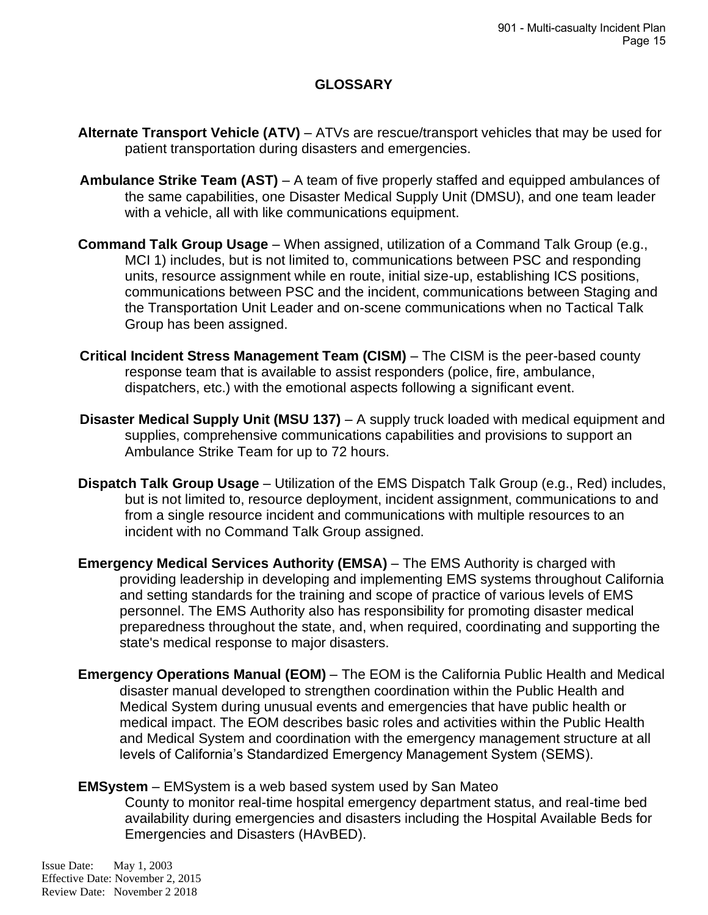## **GLOSSARY**

- **Alternate Transport Vehicle (ATV)** ATVs are rescue/transport vehicles that may be used for patient transportation during disasters and emergencies.
- **Ambulance Strike Team (AST)** A team of five properly staffed and equipped ambulances of the same capabilities, one Disaster Medical Supply Unit (DMSU), and one team leader with a vehicle, all with like communications equipment.
- **Command Talk Group Usage** When assigned, utilization of a Command Talk Group (e.g., MCI 1) includes, but is not limited to, communications between PSC and responding units, resource assignment while en route, initial size-up, establishing ICS positions, communications between PSC and the incident, communications between Staging and the Transportation Unit Leader and on-scene communications when no Tactical Talk Group has been assigned.
- **Critical Incident Stress Management Team (CISM)** The CISM is the peer-based county response team that is available to assist responders (police, fire, ambulance, dispatchers, etc.) with the emotional aspects following a significant event.
- **Disaster Medical Supply Unit (MSU 137)** A supply truck loaded with medical equipment and supplies, comprehensive communications capabilities and provisions to support an Ambulance Strike Team for up to 72 hours.
- **Dispatch Talk Group Usage** Utilization of the EMS Dispatch Talk Group (e.g., Red) includes, but is not limited to, resource deployment, incident assignment, communications to and from a single resource incident and communications with multiple resources to an incident with no Command Talk Group assigned.
- **Emergency Medical Services Authority (EMSA)** The EMS Authority is charged with providing leadership in developing and implementing EMS systems throughout California and setting standards for the training and scope of practice of various levels of EMS personnel. The EMS Authority also has responsibility for promoting disaster medical preparedness throughout the state, and, when required, coordinating and supporting the state's medical response to major disasters.
- **Emergency Operations Manual (EOM)** The EOM is the California Public Health and Medical disaster manual developed to strengthen coordination within the Public Health and Medical System during unusual events and emergencies that have public health or medical impact. The EOM describes basic roles and activities within the Public Health and Medical System and coordination with the emergency management structure at all levels of California's Standardized Emergency Management System (SEMS).

#### **EMSystem** – EMSystem is a web based system used by San Mateo

County to monitor real-time hospital emergency department status, and real-time bed availability during emergencies and disasters including the Hospital Available Beds for Emergencies and Disasters (HAvBED).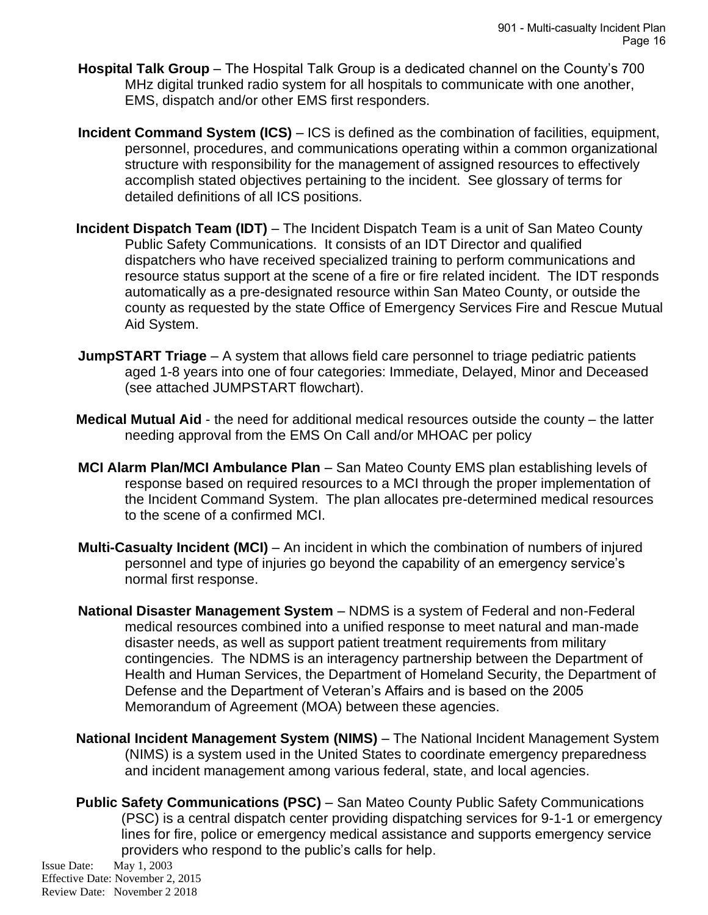- **Hospital Talk Group** The Hospital Talk Group is a dedicated channel on the County's 700 MHz digital trunked radio system for all hospitals to communicate with one another, EMS, dispatch and/or other EMS first responders.
- **Incident Command System (ICS)** ICS is defined as the combination of facilities, equipment, personnel, procedures, and communications operating within a common organizational structure with responsibility for the management of assigned resources to effectively accomplish stated objectives pertaining to the incident. See glossary of terms for detailed definitions of all ICS positions.
- **Incident Dispatch Team (IDT)** The Incident Dispatch Team is a unit of San Mateo County Public Safety Communications. It consists of an IDT Director and qualified dispatchers who have received specialized training to perform communications and resource status support at the scene of a fire or fire related incident. The IDT responds automatically as a pre-designated resource within San Mateo County, or outside the county as requested by the state Office of Emergency Services Fire and Rescue Mutual Aid System.
- **JumpSTART Triage** A system that allows field care personnel to triage pediatric patients aged 1-8 years into one of four categories: Immediate, Delayed, Minor and Deceased (see attached JUMPSTART flowchart).
- **Medical Mutual Aid** the need for additional medical resources outside the county the latter needing approval from the EMS On Call and/or MHOAC per policy
- **MCI Alarm Plan/MCI Ambulance Plan** San Mateo County EMS plan establishing levels of response based on required resources to a MCI through the proper implementation of the Incident Command System. The plan allocates pre-determined medical resources to the scene of a confirmed MCI.
- **Multi-Casualty Incident (MCI)** An incident in which the combination of numbers of injured personnel and type of injuries go beyond the capability of an emergency service's normal first response.
- **National Disaster Management System** NDMS is a system of Federal and non-Federal medical resources combined into a unified response to meet natural and man-made disaster needs, as well as support patient treatment requirements from military contingencies. The NDMS is an interagency partnership between the Department of Health and Human Services, the Department of Homeland Security, the Department of Defense and the Department of Veteran's Affairs and is based on the 2005 Memorandum of Agreement (MOA) between these agencies.
- **National Incident Management System (NIMS)** The National Incident Management System (NIMS) is a system used in the United States to coordinate emergency preparedness and incident management among various federal, state, and local agencies.
- **Public Safety Communications (PSC)** San Mateo County Public Safety Communications (PSC) is a central dispatch center providing dispatching services for 9-1-1 or emergency lines for fire, police or emergency medical assistance and supports emergency service providers who respond to the public's calls for help.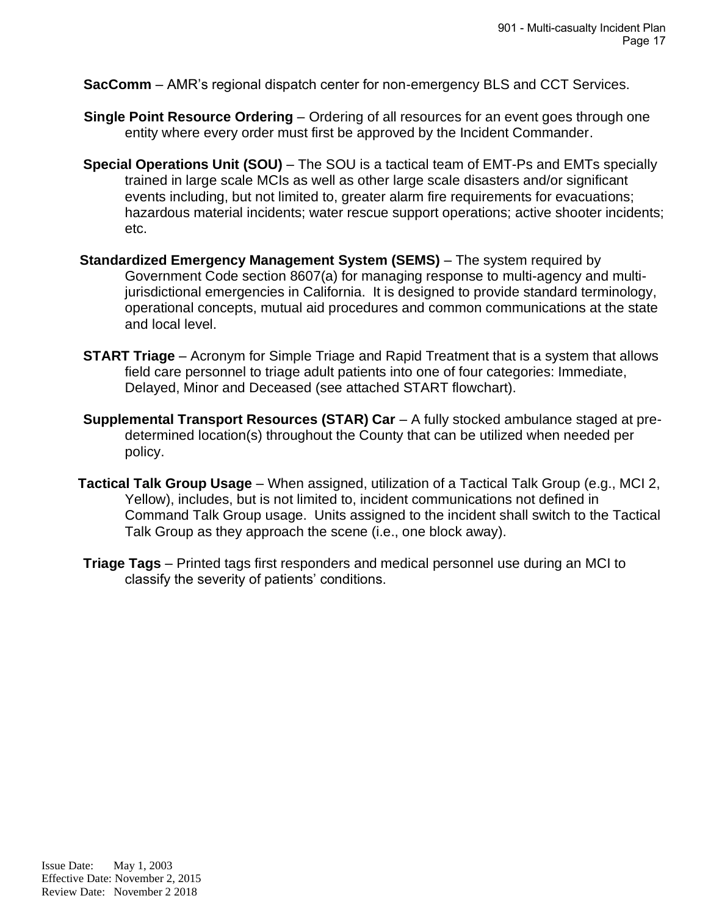**SacComm** – AMR's regional dispatch center for non-emergency BLS and CCT Services.

- **Single Point Resource Ordering** Ordering of all resources for an event goes through one entity where every order must first be approved by the Incident Commander.
- **Special Operations Unit (SOU)** The SOU is a tactical team of EMT-Ps and EMTs specially trained in large scale MCIs as well as other large scale disasters and/or significant events including, but not limited to, greater alarm fire requirements for evacuations; hazardous material incidents; water rescue support operations; active shooter incidents; etc.
- **Standardized Emergency Management System (SEMS)** The system required by Government Code section 8607(a) for managing response to multi-agency and multijurisdictional emergencies in California. It is designed to provide standard terminology, operational concepts, mutual aid procedures and common communications at the state and local level.
- **START Triage** Acronym for Simple Triage and Rapid Treatment that is a system that allows field care personnel to triage adult patients into one of four categories: Immediate, Delayed, Minor and Deceased (see attached START flowchart).
- **Supplemental Transport Resources (STAR) Car** A fully stocked ambulance staged at predetermined location(s) throughout the County that can be utilized when needed per policy.
- **Tactical Talk Group Usage** When assigned, utilization of a Tactical Talk Group (e.g., MCI 2, Yellow), includes, but is not limited to, incident communications not defined in Command Talk Group usage. Units assigned to the incident shall switch to the Tactical Talk Group as they approach the scene (i.e., one block away).
- **Triage Tags** Printed tags first responders and medical personnel use during an MCI to classify the severity of patients' conditions.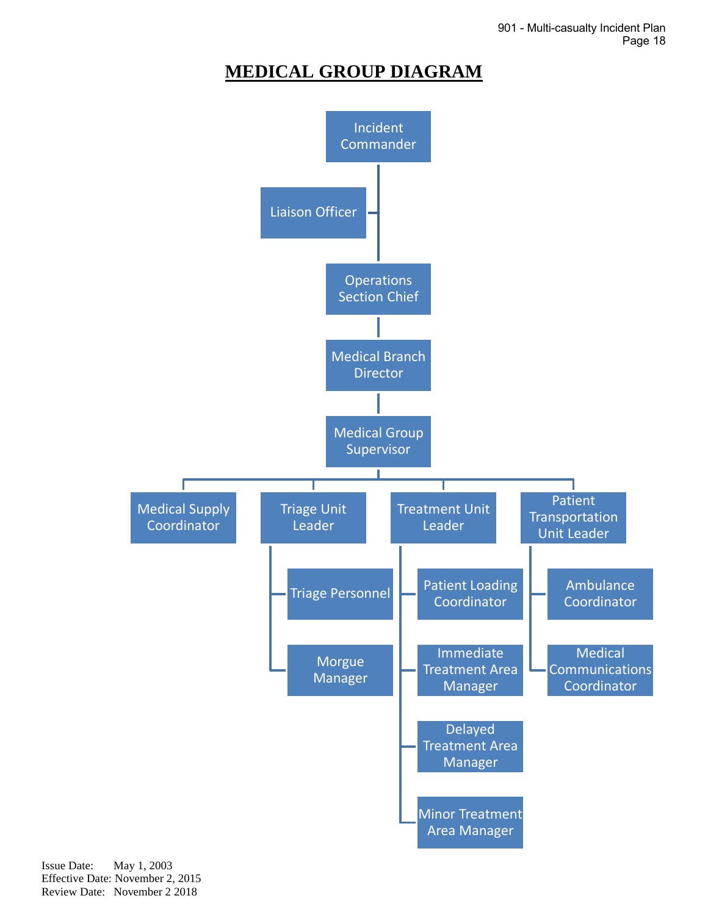## **MEDICAL GROUP DIAGRAM**

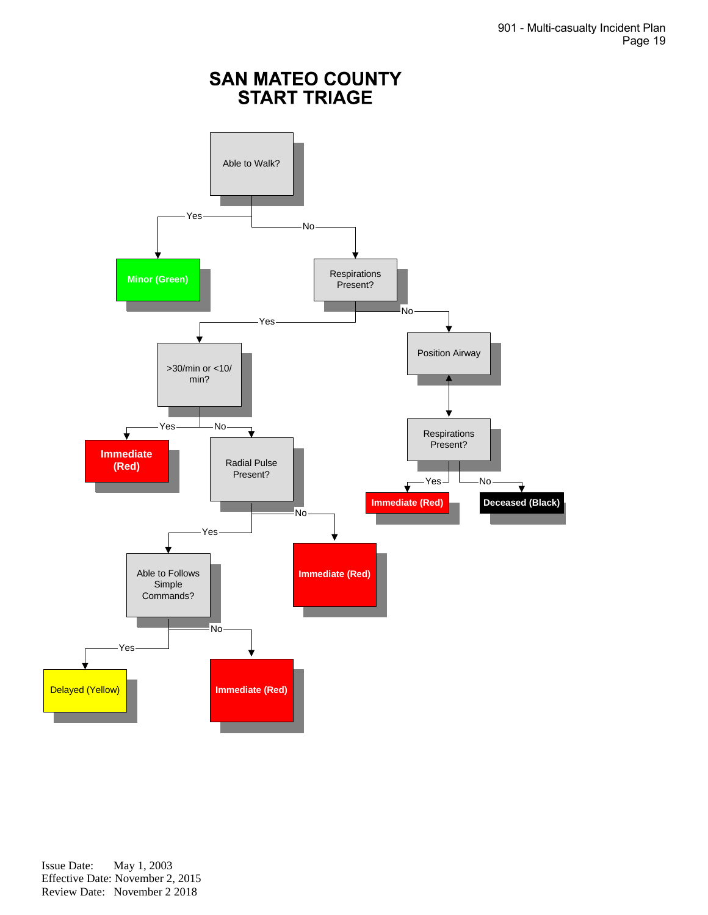# **SAN MATEO COUNTY<br>START TRIAGE**

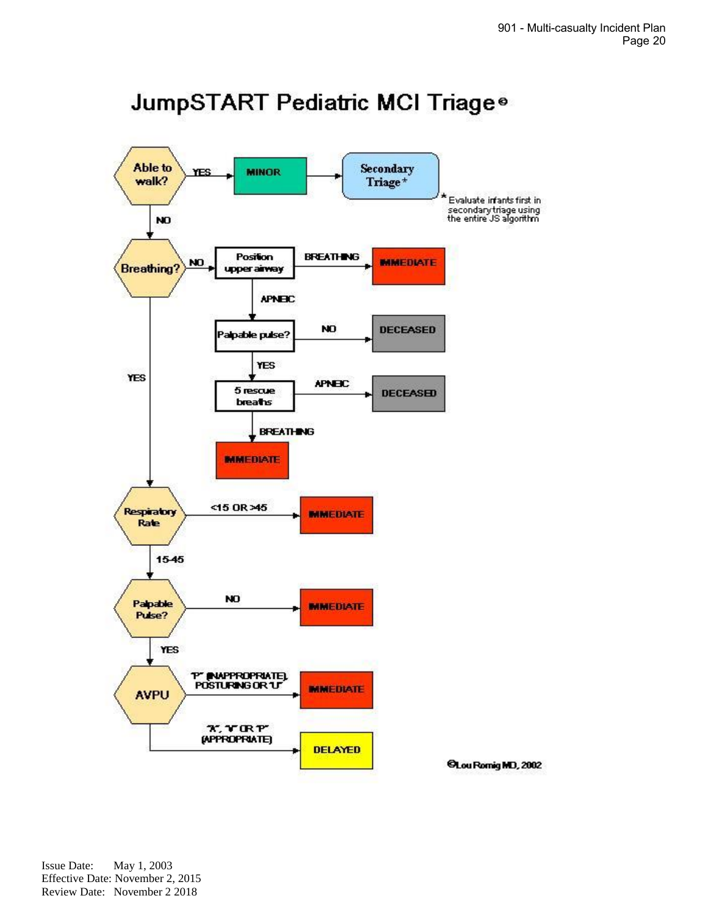